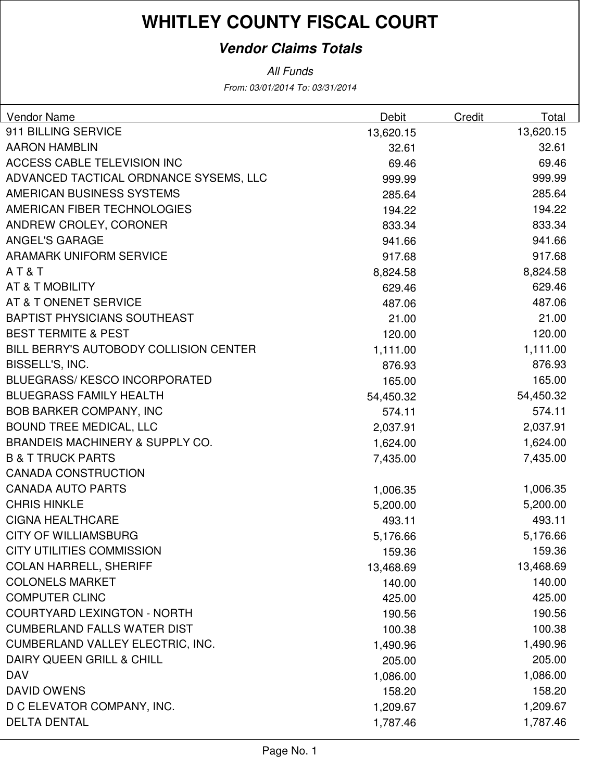### **Vendor Claims Totals**

From: 03/01/2014 To: 03/31/2014 All Funds

| <b>Vendor Name</b>                         | Debit     | Credit | Total     |
|--------------------------------------------|-----------|--------|-----------|
| 911 BILLING SERVICE                        | 13,620.15 |        | 13,620.15 |
| <b>AARON HAMBLIN</b>                       | 32.61     |        | 32.61     |
| ACCESS CABLE TELEVISION INC                | 69.46     |        | 69.46     |
| ADVANCED TACTICAL ORDNANCE SYSEMS, LLC     | 999.99    |        | 999.99    |
| AMERICAN BUSINESS SYSTEMS                  | 285.64    |        | 285.64    |
| AMERICAN FIBER TECHNOLOGIES                | 194.22    |        | 194.22    |
| ANDREW CROLEY, CORONER                     | 833.34    |        | 833.34    |
| <b>ANGEL'S GARAGE</b>                      | 941.66    |        | 941.66    |
| <b>ARAMARK UNIFORM SERVICE</b>             | 917.68    |        | 917.68    |
| AT&T                                       | 8,824.58  |        | 8,824.58  |
| AT & T MOBILITY                            | 629.46    |        | 629.46    |
| AT & T ONENET SERVICE                      | 487.06    |        | 487.06    |
| <b>BAPTIST PHYSICIANS SOUTHEAST</b>        | 21.00     |        | 21.00     |
| <b>BEST TERMITE &amp; PEST</b>             | 120.00    |        | 120.00    |
| BILL BERRY'S AUTOBODY COLLISION CENTER     | 1,111.00  |        | 1,111.00  |
| BISSELL'S, INC.                            | 876.93    |        | 876.93    |
| <b>BLUEGRASS/KESCO INCORPORATED</b>        | 165.00    |        | 165.00    |
| <b>BLUEGRASS FAMILY HEALTH</b>             | 54,450.32 |        | 54,450.32 |
| <b>BOB BARKER COMPANY, INC</b>             | 574.11    |        | 574.11    |
| <b>BOUND TREE MEDICAL, LLC</b>             | 2,037.91  |        | 2,037.91  |
| <b>BRANDEIS MACHINERY &amp; SUPPLY CO.</b> | 1,624.00  |        | 1,624.00  |
| <b>B &amp; T TRUCK PARTS</b>               | 7,435.00  |        | 7,435.00  |
| <b>CANADA CONSTRUCTION</b>                 |           |        |           |
| <b>CANADA AUTO PARTS</b>                   | 1,006.35  |        | 1,006.35  |
| <b>CHRIS HINKLE</b>                        | 5,200.00  |        | 5,200.00  |
| <b>CIGNA HEALTHCARE</b>                    | 493.11    |        | 493.11    |
| <b>CITY OF WILLIAMSBURG</b>                | 5,176.66  |        | 5,176.66  |
| CITY UTILITIES COMMISSION                  | 159.36    |        | 159.36    |
| <b>COLAN HARRELL, SHERIFF</b>              | 13,468.69 |        | 13,468.69 |
| <b>COLONELS MARKET</b>                     | 140.00    |        | 140.00    |
| <b>COMPUTER CLINC</b>                      | 425.00    |        | 425.00    |
| <b>COURTYARD LEXINGTON - NORTH</b>         | 190.56    |        | 190.56    |
| <b>CUMBERLAND FALLS WATER DIST</b>         | 100.38    |        | 100.38    |
| CUMBERLAND VALLEY ELECTRIC, INC.           | 1,490.96  |        | 1,490.96  |
| DAIRY QUEEN GRILL & CHILL                  | 205.00    |        | 205.00    |
| <b>DAV</b>                                 | 1,086.00  |        | 1,086.00  |
| <b>DAVID OWENS</b>                         | 158.20    |        | 158.20    |
| D C ELEVATOR COMPANY, INC.                 | 1,209.67  |        | 1,209.67  |
| <b>DELTA DENTAL</b>                        | 1,787.46  |        | 1,787.46  |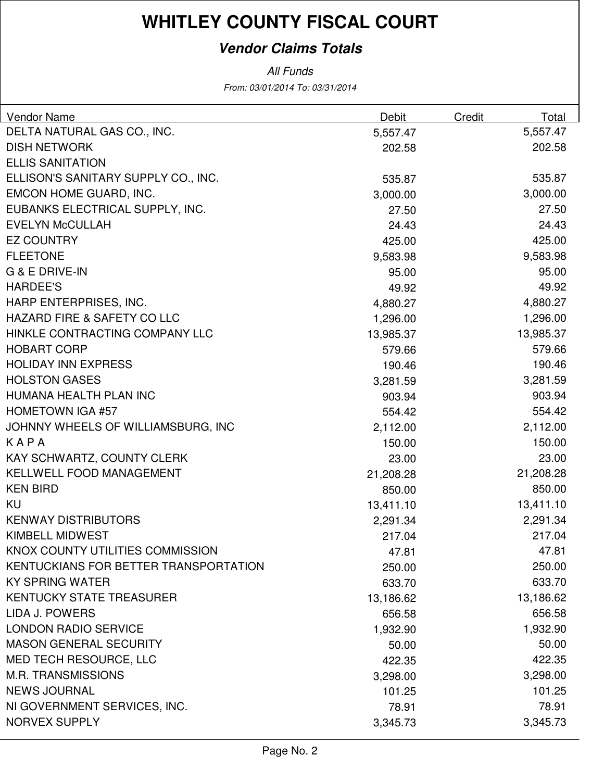### **Vendor Claims Totals**

From: 03/01/2014 To: 03/31/2014 All Funds

| <b>Vendor Name</b>                    | Debit     | Credit | Total     |
|---------------------------------------|-----------|--------|-----------|
| DELTA NATURAL GAS CO., INC.           | 5,557.47  |        | 5,557.47  |
| <b>DISH NETWORK</b>                   | 202.58    |        | 202.58    |
| <b>ELLIS SANITATION</b>               |           |        |           |
| ELLISON'S SANITARY SUPPLY CO., INC.   | 535.87    |        | 535.87    |
| EMCON HOME GUARD, INC.                | 3,000.00  |        | 3,000.00  |
| EUBANKS ELECTRICAL SUPPLY, INC.       | 27.50     |        | 27.50     |
| <b>EVELYN McCULLAH</b>                | 24.43     |        | 24.43     |
| <b>EZ COUNTRY</b>                     | 425.00    |        | 425.00    |
| <b>FLEETONE</b>                       | 9,583.98  |        | 9,583.98  |
| G & E DRIVE-IN                        | 95.00     |        | 95.00     |
| <b>HARDEE'S</b>                       | 49.92     |        | 49.92     |
| HARP ENTERPRISES, INC.                | 4,880.27  |        | 4,880.27  |
| HAZARD FIRE & SAFETY CO LLC           | 1,296.00  |        | 1,296.00  |
| HINKLE CONTRACTING COMPANY LLC        | 13,985.37 |        | 13,985.37 |
| <b>HOBART CORP</b>                    | 579.66    |        | 579.66    |
| <b>HOLIDAY INN EXPRESS</b>            | 190.46    |        | 190.46    |
| <b>HOLSTON GASES</b>                  | 3,281.59  |        | 3,281.59  |
| HUMANA HEALTH PLAN INC                | 903.94    |        | 903.94    |
| <b>HOMETOWN IGA #57</b>               | 554.42    |        | 554.42    |
| JOHNNY WHEELS OF WILLIAMSBURG, INC    | 2,112.00  |        | 2,112.00  |
| KAPA                                  | 150.00    |        | 150.00    |
| KAY SCHWARTZ, COUNTY CLERK            | 23.00     |        | 23.00     |
| <b>KELLWELL FOOD MANAGEMENT</b>       | 21,208.28 |        | 21,208.28 |
| <b>KEN BIRD</b>                       | 850.00    |        | 850.00    |
| KU                                    | 13,411.10 |        | 13,411.10 |
| <b>KENWAY DISTRIBUTORS</b>            | 2,291.34  |        | 2,291.34  |
| <b>KIMBELL MIDWEST</b>                | 217.04    |        | 217.04    |
| KNOX COUNTY UTILITIES COMMISSION      | 47.81     |        | 47.81     |
| KENTUCKIANS FOR BETTER TRANSPORTATION | 250.00    |        | 250.00    |
| <b>KY SPRING WATER</b>                | 633.70    |        | 633.70    |
| <b>KENTUCKY STATE TREASURER</b>       | 13,186.62 |        | 13,186.62 |
| <b>LIDA J. POWERS</b>                 | 656.58    |        | 656.58    |
| <b>LONDON RADIO SERVICE</b>           | 1,932.90  |        | 1,932.90  |
| <b>MASON GENERAL SECURITY</b>         | 50.00     |        | 50.00     |
| MED TECH RESOURCE, LLC                | 422.35    |        | 422.35    |
| <b>M.R. TRANSMISSIONS</b>             | 3,298.00  |        | 3,298.00  |
| <b>NEWS JOURNAL</b>                   | 101.25    |        | 101.25    |
| NI GOVERNMENT SERVICES, INC.          | 78.91     |        | 78.91     |
| <b>NORVEX SUPPLY</b>                  | 3,345.73  |        | 3,345.73  |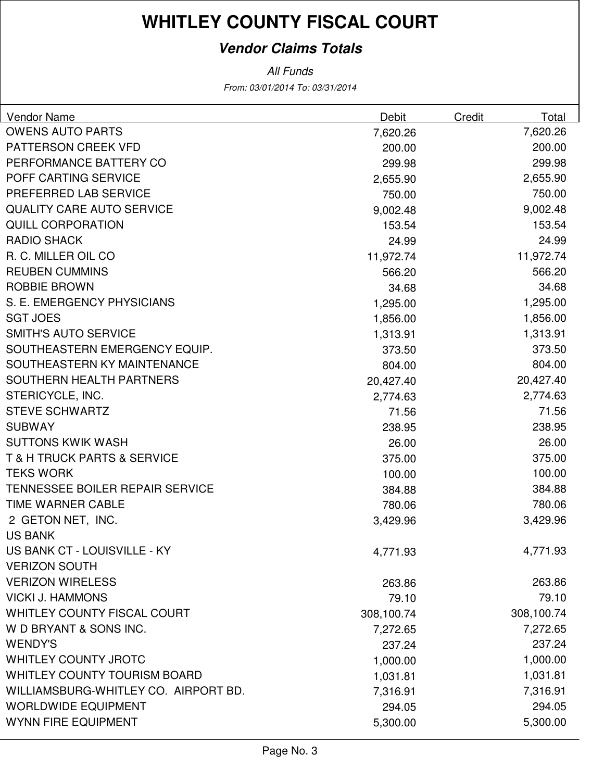### **Vendor Claims Totals**

From: 03/01/2014 To: 03/31/2014 All Funds

| <b>Vendor Name</b>                         | Debit      | Credit | Total      |
|--------------------------------------------|------------|--------|------------|
| <b>OWENS AUTO PARTS</b>                    | 7,620.26   |        | 7,620.26   |
| <b>PATTERSON CREEK VFD</b>                 | 200.00     |        | 200.00     |
| PERFORMANCE BATTERY CO                     | 299.98     |        | 299.98     |
| POFF CARTING SERVICE                       | 2,655.90   |        | 2,655.90   |
| PREFERRED LAB SERVICE                      | 750.00     |        | 750.00     |
| <b>QUALITY CARE AUTO SERVICE</b>           | 9,002.48   |        | 9,002.48   |
| <b>QUILL CORPORATION</b>                   | 153.54     |        | 153.54     |
| <b>RADIO SHACK</b>                         | 24.99      |        | 24.99      |
| R. C. MILLER OIL CO                        | 11,972.74  |        | 11,972.74  |
| <b>REUBEN CUMMINS</b>                      | 566.20     |        | 566.20     |
| <b>ROBBIE BROWN</b>                        | 34.68      |        | 34.68      |
| S. E. EMERGENCY PHYSICIANS                 | 1,295.00   |        | 1,295.00   |
| <b>SGT JOES</b>                            | 1,856.00   |        | 1,856.00   |
| <b>SMITH'S AUTO SERVICE</b>                | 1,313.91   |        | 1,313.91   |
| SOUTHEASTERN EMERGENCY EQUIP.              | 373.50     |        | 373.50     |
| SOUTHEASTERN KY MAINTENANCE                | 804.00     |        | 804.00     |
| SOUTHERN HEALTH PARTNERS                   | 20,427.40  |        | 20,427.40  |
| STERICYCLE, INC.                           | 2,774.63   |        | 2,774.63   |
| <b>STEVE SCHWARTZ</b>                      | 71.56      |        | 71.56      |
| <b>SUBWAY</b>                              | 238.95     |        | 238.95     |
| <b>SUTTONS KWIK WASH</b>                   | 26.00      |        | 26.00      |
| <b>T &amp; H TRUCK PARTS &amp; SERVICE</b> | 375.00     |        | 375.00     |
| <b>TEKS WORK</b>                           | 100.00     |        | 100.00     |
| <b>TENNESSEE BOILER REPAIR SERVICE</b>     | 384.88     |        | 384.88     |
| <b>TIME WARNER CABLE</b>                   | 780.06     |        | 780.06     |
| 2 GETON NET, INC.                          | 3,429.96   |        | 3,429.96   |
| <b>US BANK</b>                             |            |        |            |
| US BANK CT - LOUISVILLE - KY               | 4,771.93   |        | 4,771.93   |
| <b>VERIZON SOUTH</b>                       |            |        |            |
| <b>VERIZON WIRELESS</b>                    | 263.86     |        | 263.86     |
| <b>VICKI J. HAMMONS</b>                    | 79.10      |        | 79.10      |
| WHITLEY COUNTY FISCAL COURT                | 308,100.74 |        | 308,100.74 |
| W D BRYANT & SONS INC.                     | 7,272.65   |        | 7,272.65   |
| <b>WENDY'S</b>                             | 237.24     |        | 237.24     |
| <b>WHITLEY COUNTY JROTC</b>                | 1,000.00   |        | 1,000.00   |
| <b>WHITLEY COUNTY TOURISM BOARD</b>        | 1,031.81   |        | 1,031.81   |
| WILLIAMSBURG-WHITLEY CO. AIRPORT BD.       | 7,316.91   |        | 7,316.91   |
| <b>WORLDWIDE EQUIPMENT</b>                 | 294.05     |        | 294.05     |
| <b>WYNN FIRE EQUIPMENT</b>                 | 5,300.00   |        | 5,300.00   |